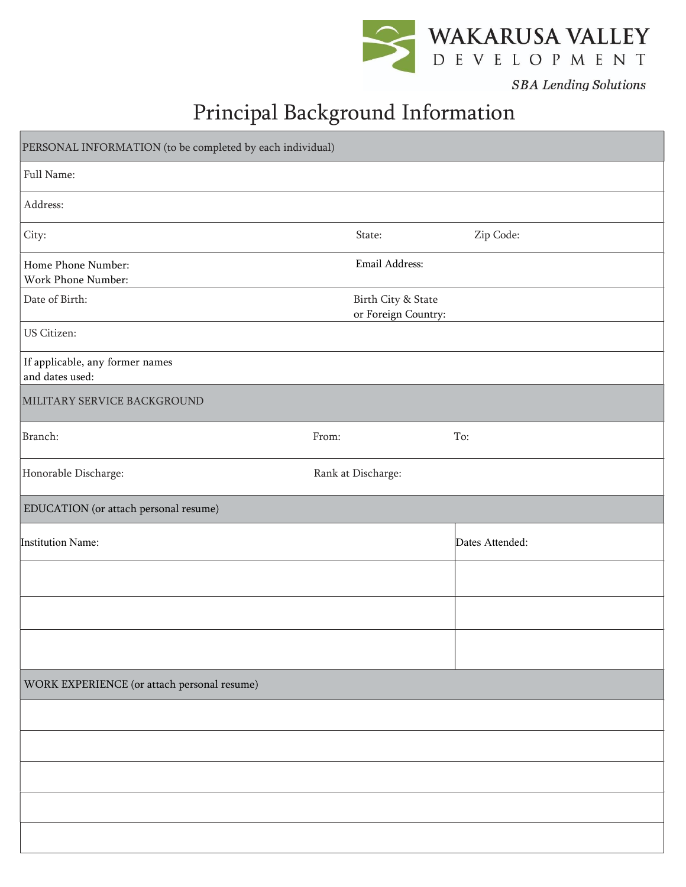

**SBA** Lending Solutions

## Principal Background Information

| PERSONAL INFORMATION (to be completed by each individual) |                                           |                 |
|-----------------------------------------------------------|-------------------------------------------|-----------------|
| Full Name:                                                |                                           |                 |
| Address:                                                  |                                           |                 |
| City:                                                     | State:                                    | Zip Code:       |
| Home Phone Number:<br>Work Phone Number:                  | Email Address:                            |                 |
| Date of Birth:                                            | Birth City & State<br>or Foreign Country: |                 |
| US Citizen:                                               |                                           |                 |
| If applicable, any former names<br>and dates used:        |                                           |                 |
| MILITARY SERVICE BACKGROUND                               |                                           |                 |
| Branch:                                                   | From:                                     | To:             |
| Honorable Discharge:                                      | Rank at Discharge:                        |                 |
| EDUCATION (or attach personal resume)                     |                                           |                 |
| Institution Name:                                         |                                           | Dates Attended: |
|                                                           |                                           |                 |
|                                                           |                                           |                 |
|                                                           |                                           |                 |
| WORK EXPERIENCE (or attach personal resume)               |                                           |                 |
|                                                           |                                           |                 |
|                                                           |                                           |                 |
|                                                           |                                           |                 |
|                                                           |                                           |                 |
|                                                           |                                           |                 |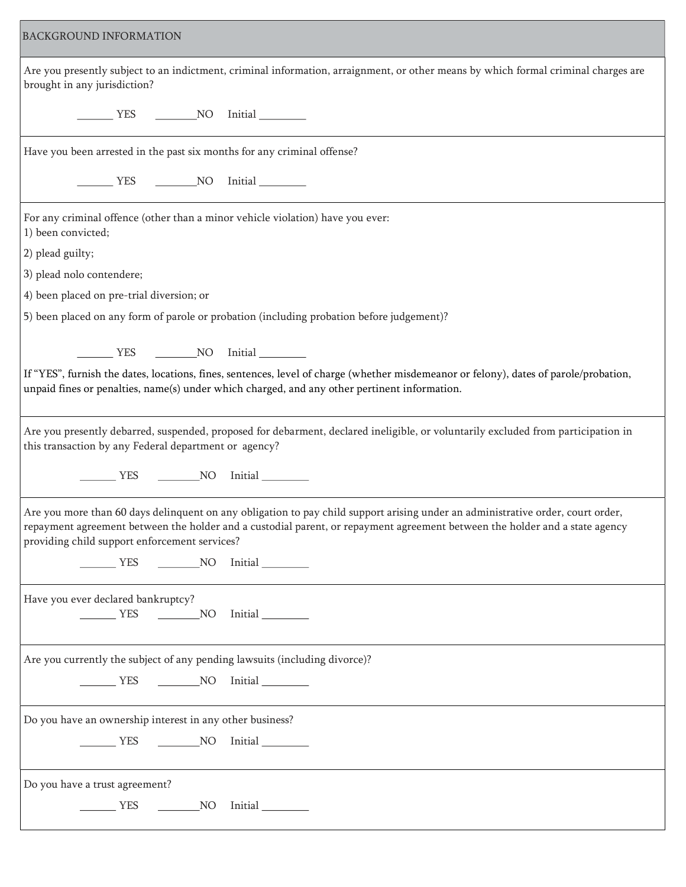| <b>BACKGROUND INFORMATION</b>                                                                                                                                                                                                                                                                                   |
|-----------------------------------------------------------------------------------------------------------------------------------------------------------------------------------------------------------------------------------------------------------------------------------------------------------------|
| Are you presently subject to an indictment, criminal information, arraignment, or other means by which formal criminal charges are<br>brought in any jurisdiction?                                                                                                                                              |
| _________ YES ____________NO __ Initial __________                                                                                                                                                                                                                                                              |
| Have you been arrested in the past six months for any criminal offense?                                                                                                                                                                                                                                         |
| VES NO Initial                                                                                                                                                                                                                                                                                                  |
| For any criminal offence (other than a minor vehicle violation) have you ever:<br>1) been convicted;                                                                                                                                                                                                            |
| 2) plead guilty;                                                                                                                                                                                                                                                                                                |
| 3) plead nolo contendere;                                                                                                                                                                                                                                                                                       |
| 4) been placed on pre-trial diversion; or                                                                                                                                                                                                                                                                       |
| 5) been placed on any form of parole or probation (including probation before judgement)?                                                                                                                                                                                                                       |
| VES NO Initial                                                                                                                                                                                                                                                                                                  |
| If "YES", furnish the dates, locations, fines, sentences, level of charge (whether misdemeanor or felony), dates of parole/probation,<br>unpaid fines or penalties, name(s) under which charged, and any other pertinent information.                                                                           |
| Are you presently debarred, suspended, proposed for debarment, declared ineligible, or voluntarily excluded from participation in<br>this transaction by any Federal department or agency?                                                                                                                      |
| VES NO Initial                                                                                                                                                                                                                                                                                                  |
| Are you more than 60 days delinquent on any obligation to pay child support arising under an administrative order, court order,<br>repayment agreement between the holder and a custodial parent, or repayment agreement between the holder and a state agency<br>providing child support enforcement services? |
| VES NO Initial                                                                                                                                                                                                                                                                                                  |
| Have you ever declared bankruptcy?<br>VES NO Initial                                                                                                                                                                                                                                                            |
| Are you currently the subject of any pending lawsuits (including divorce)?                                                                                                                                                                                                                                      |
| __________ YES ____________NO __ Initial _________                                                                                                                                                                                                                                                              |
| Do you have an ownership interest in any other business?                                                                                                                                                                                                                                                        |
| VES NO Initial                                                                                                                                                                                                                                                                                                  |
| Do you have a trust agreement?                                                                                                                                                                                                                                                                                  |
| VES NO Initial                                                                                                                                                                                                                                                                                                  |